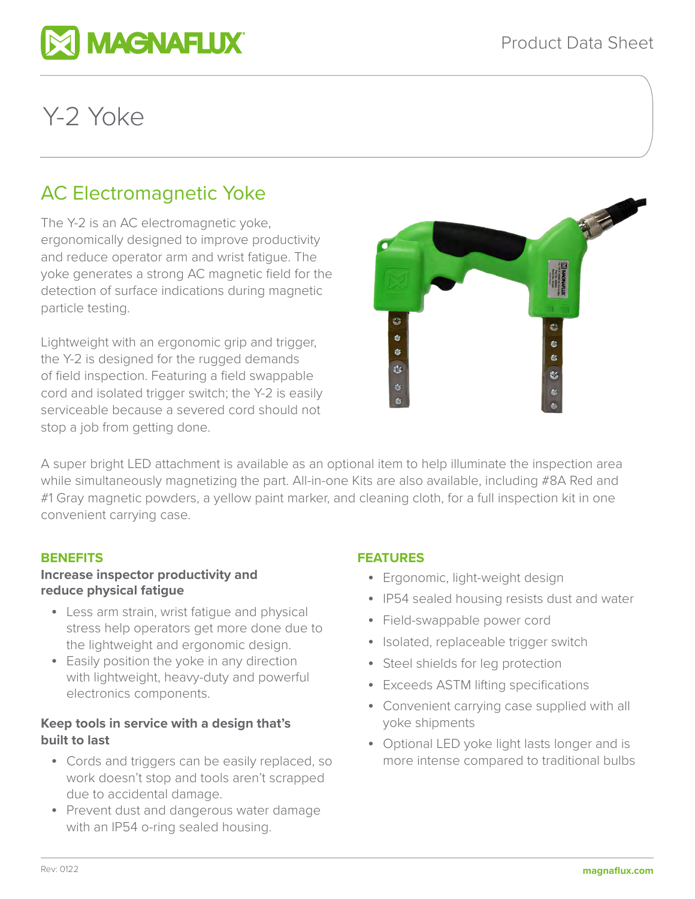

# Y-2 Yoke

# AC Electromagnetic Yoke

The Y-2 is an AC electromagnetic yoke, ergonomically designed to improve productivity and reduce operator arm and wrist fatigue. The yoke generates a strong AC magnetic field for the detection of surface indications during magnetic particle testing.

Lightweight with an ergonomic grip and trigger, the Y-2 is designed for the rugged demands of field inspection. Featuring a field swappable cord and isolated trigger switch; the Y-2 is easily serviceable because a severed cord should not stop a job from getting done.



A super bright LED attachment is available as an optional item to help illuminate the inspection area while simultaneously magnetizing the part. All-in-one Kits are also available, including #8A Red and #1 Gray magnetic powders, a yellow paint marker, and cleaning cloth, for a full inspection kit in one convenient carrying case.

# **BENEFITS**

# **Increase inspector productivity and reduce physical fatigue**

- Less arm strain, wrist fatigue and physical stress help operators get more done due to the lightweight and ergonomic design.
- Easily position the yoke in any direction with lightweight, heavy-duty and powerful electronics components.

# **Keep tools in service with a design that's built to last**

- Cords and triggers can be easily replaced, so work doesn't stop and tools aren't scrapped due to accidental damage.
- Prevent dust and dangerous water damage with an IP54 o-ring sealed housing.

# **FEATURES**

- Ergonomic, light-weight design
- IP54 sealed housing resists dust and water
- Field-swappable power cord
- Isolated, replaceable trigger switch
- Steel shields for leg protection
- Exceeds ASTM lifting specifications
- Convenient carrying case supplied with all yoke shipments
- Optional LED yoke light lasts longer and is more intense compared to traditional bulbs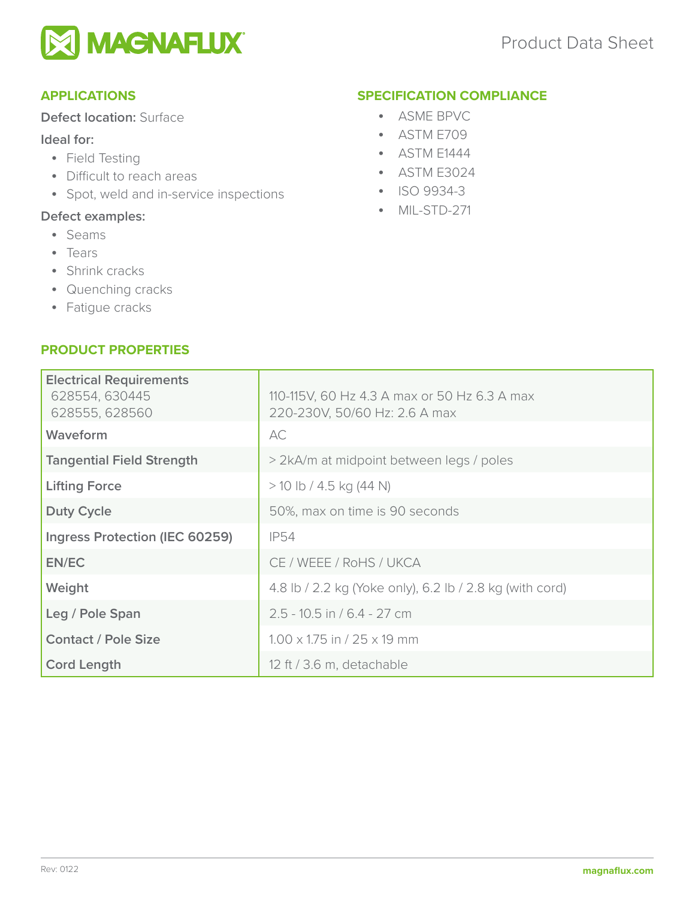

# **APPLICATIONS**

# **Defect location:** Surface

# **Ideal for:**

- Field Testing
- Difficult to reach areas
- Spot, weld and in-service inspections

# **Defect examples:**

- Seams
- Tears
- Shrink cracks
- Quenching cracks
- Fatigue cracks

# **PRODUCT PROPERTIES**

#### **SPECIFICATION COMPLIANCE**

- ASME BPVC
- ASTM E709
- ASTM E1444
- ASTM E3024
- ISO 9934-3
- MIL-STD-271

| <b>Electrical Requirements</b><br>628554, 630445<br>628555, 628560 | 110-115V, 60 Hz 4.3 A max or 50 Hz 6.3 A max<br>220-230V, 50/60 Hz: 2.6 A max |  |  |
|--------------------------------------------------------------------|-------------------------------------------------------------------------------|--|--|
| Waveform                                                           | AC                                                                            |  |  |
| <b>Tangential Field Strength</b>                                   | > 2kA/m at midpoint between legs / poles                                      |  |  |
| <b>Lifting Force</b>                                               | $>$ 10 lb / 4.5 kg (44 N)                                                     |  |  |
| <b>Duty Cycle</b>                                                  | 50%, max on time is 90 seconds                                                |  |  |
| Ingress Protection (IEC 60259)                                     | <b>IP54</b>                                                                   |  |  |
| EN/EC                                                              | CE / WEEE / RoHS / UKCA                                                       |  |  |
| Weight                                                             | 4.8 lb / 2.2 kg (Yoke only), 6.2 lb / 2.8 kg (with cord)                      |  |  |
| Leg / Pole Span                                                    | $2.5 - 10.5$ in / 6.4 - 27 cm                                                 |  |  |
| <b>Contact / Pole Size</b>                                         | $1.00 \times 1.75$ in / 25 $\times$ 19 mm                                     |  |  |
| <b>Cord Length</b>                                                 | 12 ft / 3.6 m, detachable                                                     |  |  |